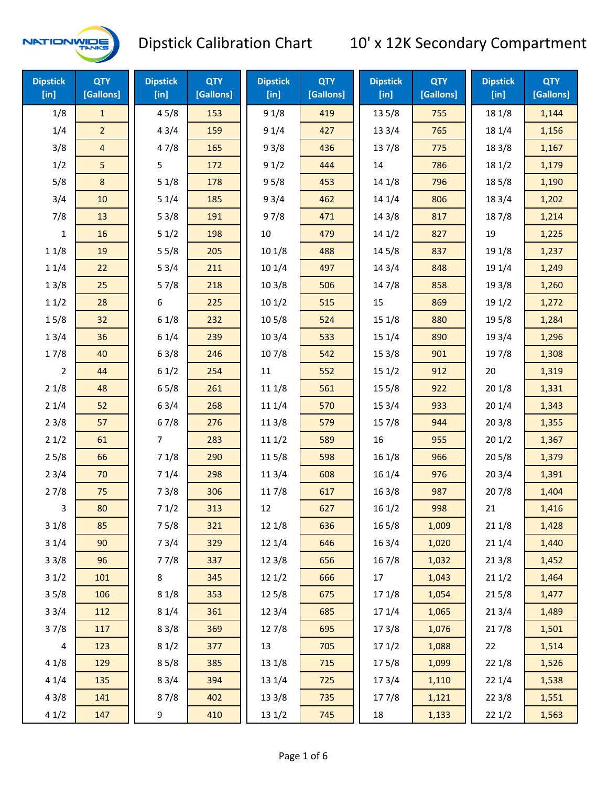

| <b>Dipstick</b><br>[in] | <b>QTY</b><br>[Gallons] | <b>Dipstick</b><br>$[$ in] | <b>QTY</b><br>[Gallons] | <b>Dipstick</b><br>[in] | <b>QTY</b><br>[Gallons] | <b>Dipstick</b><br>$[$ in] | <b>QTY</b><br>[Gallons] | <b>Dipstick</b><br>$[$ in] | <b>QTY</b><br>[Gallons] |
|-------------------------|-------------------------|----------------------------|-------------------------|-------------------------|-------------------------|----------------------------|-------------------------|----------------------------|-------------------------|
| 1/8                     | $\mathbf{1}$            | 45/8                       | 153                     | 91/8                    | 419                     | 135/8                      | 755                     | 18 1/8                     | 1,144                   |
| 1/4                     | $\overline{2}$          | 43/4                       | 159                     | 91/4                    | 427                     | 13 3/4                     | 765                     | 18 1/4                     | 1,156                   |
| 3/8                     | 4                       | 47/8                       | 165                     | 93/8                    | 436                     | 137/8                      | 775                     | 18 3/8                     | 1,167                   |
| 1/2                     | 5                       | 5                          | 172                     | 91/2                    | 444                     | 14                         | 786                     | 181/2                      | 1,179                   |
| 5/8                     | 8                       | 51/8                       | 178                     | 95/8                    | 453                     | 14 1/8                     | 796                     | 185/8                      | 1,190                   |
| 3/4                     | 10                      | 51/4                       | 185                     | 93/4                    | 462                     | 14 1/4                     | 806                     | 183/4                      | 1,202                   |
| 7/8                     | 13                      | 53/8                       | 191                     | 97/8                    | 471                     | 14 3/8                     | 817                     | 187/8                      | 1,214                   |
| $\mathbf{1}$            | 16                      | 51/2                       | 198                     | $10\,$                  | 479                     | 141/2                      | 827                     | 19                         | 1,225                   |
| 11/8                    | 19                      | 55/8                       | 205                     | 101/8                   | 488                     | 14 5/8                     | 837                     | 19 1/8                     | 1,237                   |
| 11/4                    | 22                      | 53/4                       | 211                     | 10 1/4                  | 497                     | 14 3/4                     | 848                     | 19 1/4                     | 1,249                   |
| 13/8                    | 25                      | 57/8                       | 218                     | 103/8                   | 506                     | 147/8                      | 858                     | 19 3/8                     | 1,260                   |
| 11/2                    | 28                      | 6                          | 225                     | 101/2                   | 515                     | 15                         | 869                     | 19 1/2                     | 1,272                   |
| 15/8                    | 32                      | 61/8                       | 232                     | 10 <sub>5</sub> /8      | 524                     | 15 1/8                     | 880                     | 19 5/8                     | 1,284                   |
| 13/4                    | 36                      | 61/4                       | 239                     | 103/4                   | 533                     | 15 1/4                     | 890                     | 19 3/4                     | 1,296                   |
| 17/8                    | 40                      | 63/8                       | 246                     | 107/8                   | 542                     | 153/8                      | 901                     | 197/8                      | 1,308                   |
| $\overline{2}$          | 44                      | 61/2                       | 254                     | 11                      | 552                     | 151/2                      | 912                     | 20                         | 1,319                   |
| 21/8                    | 48                      | 65/8                       | 261                     | 11 1/8                  | 561                     | 15 5/8                     | 922                     | 201/8                      | 1,331                   |
| 21/4                    | 52                      | 63/4                       | 268                     | 11 1/4                  | 570                     | 153/4                      | 933                     | 201/4                      | 1,343                   |
| 23/8                    | 57                      | 67/8                       | 276                     | 11 3/8                  | 579                     | 15 7/8                     | 944                     | 203/8                      | 1,355                   |
| 21/2                    | 61                      | $\overline{7}$             | 283                     | 111/2                   | 589                     | 16                         | 955                     | 201/2                      | 1,367                   |
| 25/8                    | 66                      | 71/8                       | 290                     | 115/8                   | 598                     | 16 1/8                     | 966                     | 205/8                      | 1,379                   |
| 23/4                    | 70                      | 71/4                       | 298                     | 11 3/4                  | 608                     | 16 1/4                     | 976                     | 203/4                      | 1,391                   |
| 27/8                    | 75                      | 73/8                       | 306                     | 117/8                   | 617                     | 16 3/8                     | 987                     | 207/8                      | 1,404                   |
| 3                       | 80                      | 71/2                       | 313                     | 12                      | 627                     | 161/2                      | 998                     | 21                         | 1,416                   |
| 31/8                    | 85                      | 75/8                       | 321                     | 12 1/8                  | 636                     | 16 5/8                     | 1,009                   | 211/8                      | 1,428                   |
| 31/4                    | 90                      | 73/4                       | 329                     | 12 1/4                  | 646                     | 16 3/4                     | 1,020                   | 211/4                      | 1,440                   |
| 33/8                    | 96                      | 77/8                       | 337                     | 12 3/8                  | 656                     | 16 7/8                     | 1,032                   | 213/8                      | 1,452                   |
| 31/2                    | 101                     | 8                          | 345                     | 121/2                   | 666                     | 17                         | 1,043                   | 211/2                      | 1,464                   |
| 35/8                    | 106                     | 81/8                       | 353                     | 125/8                   | 675                     | 17 1/8                     | 1,054                   | 215/8                      | 1,477                   |
| 33/4                    | 112                     | 81/4                       | 361                     | 12 3/4                  | 685                     | 17 1/4                     | 1,065                   | 213/4                      | 1,489                   |
| 37/8                    | 117                     | 83/8                       | 369                     | 127/8                   | 695                     | 17 3/8                     | 1,076                   | 217/8                      | 1,501                   |
| 4                       | 123                     | 81/2                       | 377                     | 13                      | 705                     | 171/2                      | 1,088                   | 22                         | 1,514                   |
| 41/8                    | 129                     | 85/8                       | 385                     | 13 1/8                  | 715                     | 175/8                      | 1,099                   | 221/8                      | 1,526                   |
| 41/4                    | 135                     | 83/4                       | 394                     | 13 1/4                  | 725                     | 17 3/4                     | 1,110                   | 221/4                      | 1,538                   |
| 43/8                    | 141                     | 87/8                       | 402                     | 13 3/8                  | 735                     | 177/8                      | 1,121                   | 223/8                      | 1,551                   |
| 41/2                    | 147                     | 9                          | 410                     | 13 1/2                  | 745                     | 18                         | 1,133                   | 221/2                      | 1,563                   |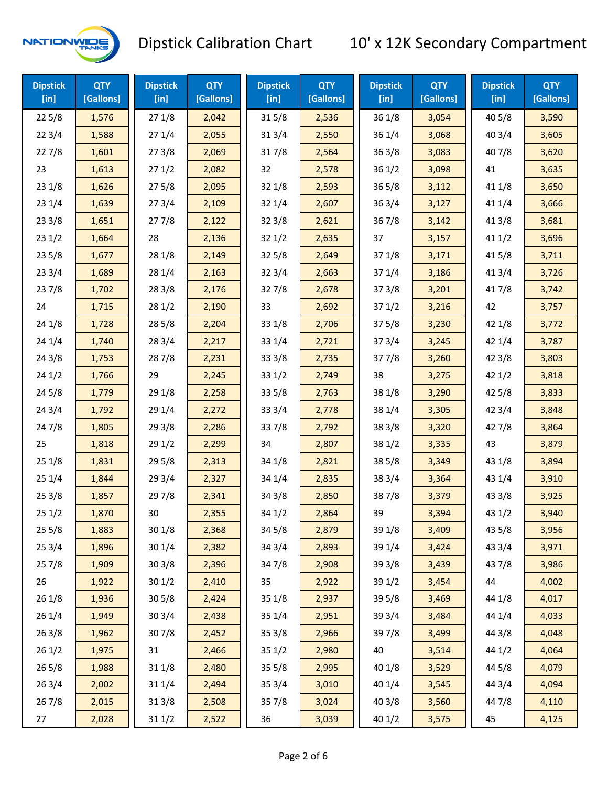

| <b>Dipstick</b><br>$[$ in] | <b>QTY</b><br>[Gallons] | <b>Dipstick</b><br>$[$ in] | <b>QTY</b><br>[Gallons] | <b>Dipstick</b><br>$[$ in] | <b>QTY</b><br>[Gallons] | <b>Dipstick</b><br>$[$ in] | <b>QTY</b><br>[Gallons] | <b>Dipstick</b><br>$[$ in] | <b>QTY</b><br>[Gallons] |
|----------------------------|-------------------------|----------------------------|-------------------------|----------------------------|-------------------------|----------------------------|-------------------------|----------------------------|-------------------------|
| 225/8                      | 1,576                   | 271/8                      | 2,042                   | 315/8                      | 2,536                   | 36 1/8                     | 3,054                   | 40 5/8                     | 3,590                   |
| 223/4                      | 1,588                   | 271/4                      | 2,055                   | 313/4                      | 2,550                   | 36 1/4                     | 3,068                   | 403/4                      | 3,605                   |
| 227/8                      | 1,601                   | 273/8                      | 2,069                   | 317/8                      | 2,564                   | 36 3/8                     | 3,083                   | 407/8                      | 3,620                   |
| 23                         | 1,613                   | 271/2                      | 2,082                   | 32                         | 2,578                   | 36 1/2                     | 3,098                   | 41                         | 3,635                   |
| 231/8                      | 1,626                   | 275/8                      | 2,095                   | 32 1/8                     | 2,593                   | 36 5/8                     | 3,112                   | 41 1/8                     | 3,650                   |
| 231/4                      | 1,639                   | 273/4                      | 2,109                   | 32 1/4                     | 2,607                   | 36 3/4                     | 3,127                   | 41 1/4                     | 3,666                   |
| 233/8                      | 1,651                   | 277/8                      | 2,122                   | 323/8                      | 2,621                   | 367/8                      | 3,142                   | 413/8                      | 3,681                   |
| 231/2                      | 1,664                   | 28                         | 2,136                   | 321/2                      | 2,635                   | 37                         | 3,157                   | 411/2                      | 3,696                   |
| 235/8                      | 1,677                   | 28 1/8                     | 2,149                   | 325/8                      | 2,649                   | 37 1/8                     | 3,171                   | 41 5/8                     | 3,711                   |
| 233/4                      | 1,689                   | 28 1/4                     | 2,163                   | 32 3/4                     | 2,663                   | 37 1/4                     | 3,186                   | 41 3/4                     | 3,726                   |
| 237/8                      | 1,702                   | 28 3/8                     | 2,176                   | 327/8                      | 2,678                   | 37 3/8                     | 3,201                   | 417/8                      | 3,742                   |
| 24                         | 1,715                   | 281/2                      | 2,190                   | 33                         | 2,692                   | 371/2                      | 3,216                   | 42                         | 3,757                   |
| 241/8                      | 1,728                   | 285/8                      | 2,204                   | 33 1/8                     | 2,706                   | 37 5/8                     | 3,230                   | 42 1/8                     | 3,772                   |
| 241/4                      | 1,740                   | 283/4                      | 2,217                   | 33 1/4                     | 2,721                   | 37 3/4                     | 3,245                   | 42 1/4                     | 3,787                   |
| 243/8                      | 1,753                   | 287/8                      | 2,231                   | 33 3/8                     | 2,735                   | 377/8                      | 3,260                   | 42 3/8                     | 3,803                   |
| 241/2                      | 1,766                   | 29                         | 2,245                   | 331/2                      | 2,749                   | 38                         | 3,275                   | 421/2                      | 3,818                   |
| 245/8                      | 1,779                   | 29 1/8                     | 2,258                   | 33 5/8                     | 2,763                   | 38 1/8                     | 3,290                   | 42 5/8                     | 3,833                   |
| 243/4                      | 1,792                   | 29 1/4                     | 2,272                   | 33 3/4                     | 2,778                   | 38 1/4                     | 3,305                   | 42 3/4                     | 3,848                   |
| 24 7/8                     | 1,805                   | 293/8                      | 2,286                   | 337/8                      | 2,792                   | 38 3/8                     | 3,320                   | 42 7/8                     | 3,864                   |
| 25                         | 1,818                   | 291/2                      | 2,299                   | 34                         | 2,807                   | 38 1/2                     | 3,335                   | 43                         | 3,879                   |
| 251/8                      | 1,831                   | 29 5/8                     | 2,313                   | 34 1/8                     | 2,821                   | 38 5/8                     | 3,349                   | 43 1/8                     | 3,894                   |
| 251/4                      | 1,844                   | 29 3/4                     | 2,327                   | 34 1/4                     | 2,835                   | 38 3/4                     | 3,364                   | 43 1/4                     | 3,910                   |
| 253/8                      | 1,857                   | 297/8                      | 2,341                   | 34 3/8                     | 2,850                   | 387/8                      | 3,379                   | 43 3/8                     | 3,925                   |
| 251/2                      | 1,870                   | 30                         | 2,355                   | 34 1/2                     | 2,864                   | 39                         | 3,394                   | 43 1/2                     | 3,940                   |
| 255/8                      | 1,883                   | 30 1/8                     | 2,368                   | 34 5/8                     | 2,879                   | 39 1/8                     | 3,409                   | 43 5/8                     | 3,956                   |
| 253/4                      | 1,896                   | 30 1/4                     | 2,382                   | 34 3/4                     | 2,893                   | 39 1/4                     | 3,424                   | 43 3/4                     | 3,971                   |
| 257/8                      | 1,909                   | 30 3/8                     | 2,396                   | 347/8                      | 2,908                   | 39 3/8                     | 3,439                   | 437/8                      | 3,986                   |
| 26                         | 1,922                   | 30 1/2                     | 2,410                   | 35                         | 2,922                   | 39 1/2                     | 3,454                   | 44                         | 4,002                   |
| 26 1/8                     | 1,936                   | 30 5/8                     | 2,424                   | 35 1/8                     | 2,937                   | 39 5/8                     | 3,469                   | 44 1/8                     | 4,017                   |
| 26 1/4                     | 1,949                   | 30 3/4                     | 2,438                   | 35 1/4                     | 2,951                   | 39 3/4                     | 3,484                   | 44 1/4                     | 4,033                   |
| 263/8                      | 1,962                   | 307/8                      | 2,452                   | 35 3/8                     | 2,966                   | 397/8                      | 3,499                   | 44 3/8                     | 4,048                   |
| 261/2                      | 1,975                   | 31                         | 2,466                   | 35 1/2                     | 2,980                   | 40                         | 3,514                   | 44 1/2                     | 4,064                   |
| 265/8                      | 1,988                   | 31 1/8                     | 2,480                   | 35 5/8                     | 2,995                   | 40 1/8                     | 3,529                   | 44 5/8                     | 4,079                   |
| 263/4                      | 2,002                   | 31 1/4                     | 2,494                   | 35 3/4                     | 3,010                   | 40 1/4                     | 3,545                   | 44 3/4                     | 4,094                   |
| 267/8                      | 2,015                   | 31 3/8                     | 2,508                   | 357/8                      | 3,024                   | 40 3/8                     | 3,560                   | 447/8                      | 4,110                   |
| 27                         | 2,028                   | 311/2                      | 2,522                   | 36                         | 3,039                   | 40 1/2                     | 3,575                   | 45                         | 4,125                   |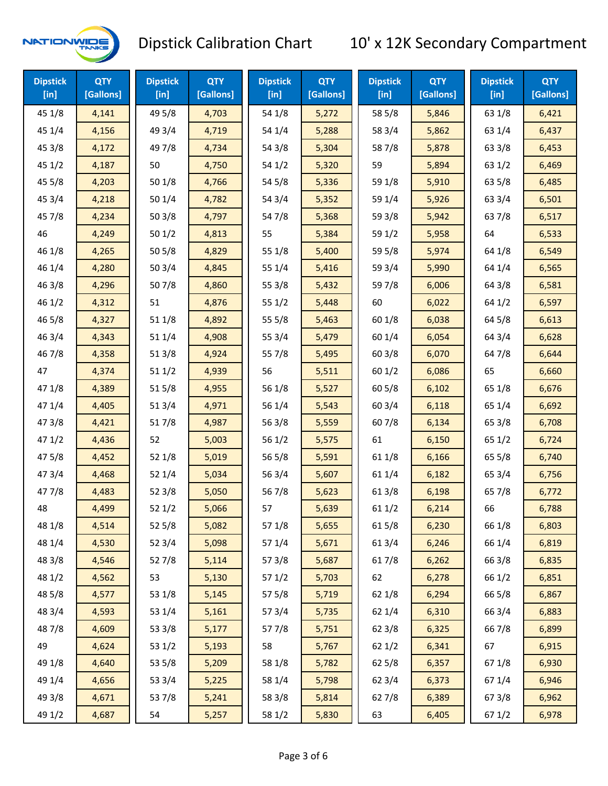

| <b>Dipstick</b><br>$[$ in] | <b>QTY</b><br>[Gallons] | <b>Dipstick</b><br>$[$ in] | <b>QTY</b><br>[Gallons] | <b>Dipstick</b><br>$[$ in] | <b>QTY</b><br>[Gallons] | <b>Dipstick</b><br>$[$ in] | <b>QTY</b><br>[Gallons] | <b>Dipstick</b><br>$[$ in] | <b>QTY</b><br>[Gallons] |
|----------------------------|-------------------------|----------------------------|-------------------------|----------------------------|-------------------------|----------------------------|-------------------------|----------------------------|-------------------------|
| 45 1/8                     | 4,141                   | 49 5/8                     | 4,703                   | 54 1/8                     | 5,272                   | 58 5/8                     | 5,846                   | 63 1/8                     | 6,421                   |
| 45 1/4                     | 4,156                   | 49 3/4                     | 4,719                   | 54 1/4                     | 5,288                   | 58 3/4                     | 5,862                   | 63 1/4                     | 6,437                   |
| 45 3/8                     | 4,172                   | 49 7/8                     | 4,734                   | 54 3/8                     | 5,304                   | 587/8                      | 5,878                   | 63 3/8                     | 6,453                   |
| 45 1/2                     | 4,187                   | 50                         | 4,750                   | 54 1/2                     | 5,320                   | 59                         | 5,894                   | 63 1/2                     | 6,469                   |
| 45 5/8                     | 4,203                   | 50 1/8                     | 4,766                   | 54 5/8                     | 5,336                   | 59 1/8                     | 5,910                   | 63 5/8                     | 6,485                   |
| 45 3/4                     | 4,218                   | 50 1/4                     | 4,782                   | 54 3/4                     | 5,352                   | 59 1/4                     | 5,926                   | 63 3/4                     | 6,501                   |
| 45 7/8                     | 4,234                   | 503/8                      | 4,797                   | 54 7/8                     | 5,368                   | 59 3/8                     | 5,942                   | 63 7/8                     | 6,517                   |
| 46                         | 4,249                   | 501/2                      | 4,813                   | 55                         | 5,384                   | 59 1/2                     | 5,958                   | 64                         | 6,533                   |
| 46 1/8                     | 4,265                   | 505/8                      | 4,829                   | 55 1/8                     | 5,400                   | 59 5/8                     | 5,974                   | 64 1/8                     | 6,549                   |
| 46 1/4                     | 4,280                   | 50 3/4                     | 4,845                   | 55 1/4                     | 5,416                   | 59 3/4                     | 5,990                   | 64 1/4                     | 6,565                   |
| 46 3/8                     | 4,296                   | 507/8                      | 4,860                   | 55 3/8                     | 5,432                   | 59 7/8                     | 6,006                   | 64 3/8                     | 6,581                   |
| 46 1/2                     | 4,312                   | 51                         | 4,876                   | 551/2                      | 5,448                   | 60                         | 6,022                   | 64 1/2                     | 6,597                   |
| 46 5/8                     | 4,327                   | 51 1/8                     | 4,892                   | 55 5/8                     | 5,463                   | 60 1/8                     | 6,038                   | 64 5/8                     | 6,613                   |
| 46 3/4                     | 4,343                   | 51 1/4                     | 4,908                   | 55 3/4                     | 5,479                   | 60 1/4                     | 6,054                   | 64 3/4                     | 6,628                   |
| 46 7/8                     | 4,358                   | 513/8                      | 4,924                   | 55 7/8                     | 5,495                   | 603/8                      | 6,070                   | 64 7/8                     | 6,644                   |
| 47                         | 4,374                   | 511/2                      | 4,939                   | 56                         | 5,511                   | 601/2                      | 6,086                   | 65                         | 6,660                   |
| 47 1/8                     | 4,389                   | 515/8                      | 4,955                   | 56 1/8                     | 5,527                   | 60 5/8                     | 6,102                   | 65 1/8                     | 6,676                   |
| 47 1/4                     | 4,405                   | 51 3/4                     | 4,971                   | 56 1/4                     | 5,543                   | 603/4                      | 6,118                   | 65 1/4                     | 6,692                   |
| 47 3/8                     | 4,421                   | 517/8                      | 4,987                   | 56 3/8                     | 5,559                   | 607/8                      | 6,134                   | 65 3/8                     | 6,708                   |
| 471/2                      | 4,436                   | 52                         | 5,003                   | 56 1/2                     | 5,575                   | 61                         | 6,150                   | 65 1/2                     | 6,724                   |
| 475/8                      | 4,452                   | 52 1/8                     | 5,019                   | 56 5/8                     | 5,591                   | 61 1/8                     | 6,166                   | 65 5/8                     | 6,740                   |
| 47 3/4                     | 4,468                   | 52 1/4                     | 5,034                   | 56 3/4                     | 5,607                   | 61 1/4                     | 6,182                   | 65 3/4                     | 6,756                   |
| 47 7/8                     | 4,483                   | 52 3/8                     | 5,050                   | 567/8                      | 5,623                   | 61 3/8                     | 6,198                   | 65 7/8                     | 6,772                   |
| 48                         | 4,499                   | 521/2                      | 5,066                   | 57                         | 5,639                   | 611/2                      | 6,214                   | 66                         | 6,788                   |
| 48 1/8                     | 4,514                   | 525/8                      | 5,082                   | 57 1/8                     | 5,655                   | 615/8                      | 6,230                   | 66 1/8                     | 6,803                   |
| 48 1/4                     | 4,530                   | 52 3/4                     | 5,098                   | 57 1/4                     | 5,671                   | 613/4                      | 6,246                   | 66 1/4                     | 6,819                   |
| 48 3/8                     | 4,546                   | 527/8                      | 5,114                   | 57 3/8                     | 5,687                   | 617/8                      | 6,262                   | 66 3/8                     | 6,835                   |
| 48 1/2                     | 4,562                   | 53                         | 5,130                   | 57 1/2                     | 5,703                   | 62                         | 6,278                   | 66 1/2                     | 6,851                   |
| 48 5/8                     | 4,577                   | 53 1/8                     | 5,145                   | 57 5/8                     | 5,719                   | 62 1/8                     | 6,294                   | 66 5/8                     | 6,867                   |
| 48 3/4                     | 4,593                   | 53 1/4                     | 5,161                   | 573/4                      | 5,735                   | 62 1/4                     | 6,310                   | 66 3/4                     | 6,883                   |
| 487/8                      | 4,609                   | 53 3/8                     | 5,177                   | 577/8                      | 5,751                   | 62 3/8                     | 6,325                   | 667/8                      | 6,899                   |
| 49                         | 4,624                   | 53 1/2                     | 5,193                   | 58                         | 5,767                   | 62 1/2                     | 6,341                   | 67                         | 6,915                   |
| 49 1/8                     | 4,640                   | 53 5/8                     | 5,209                   | 58 1/8                     | 5,782                   | 62 5/8                     | 6,357                   | 671/8                      | 6,930                   |
| 49 1/4                     | 4,656                   | 53 3/4                     | 5,225                   | 58 1/4                     | 5,798                   | 62 3/4                     | 6,373                   | 671/4                      | 6,946                   |
| 49 3/8                     | 4,671                   | 537/8                      | 5,241                   | 58 3/8                     | 5,814                   | 627/8                      | 6,389                   | 67 3/8                     | 6,962                   |
| 49 1/2                     | 4,687                   | 54                         | 5,257                   | 58 1/2                     | 5,830                   | 63                         | 6,405                   | 67 1/2                     | 6,978                   |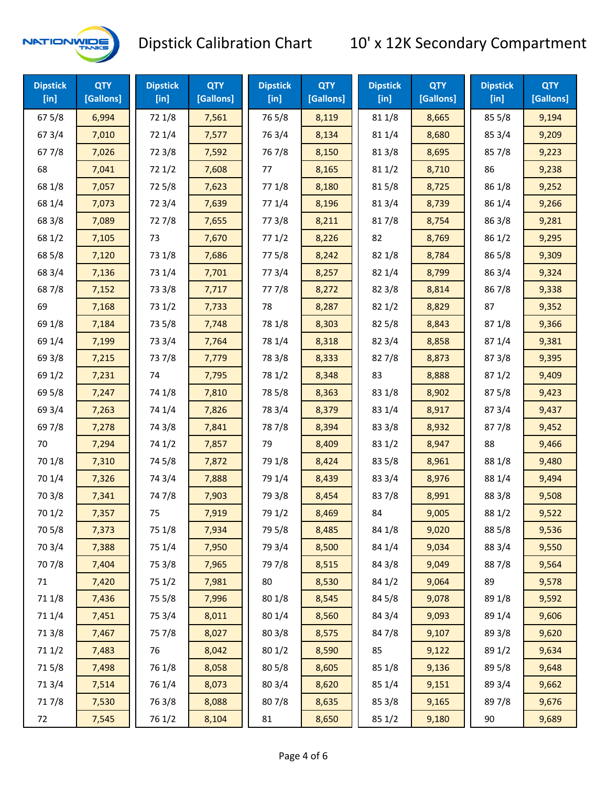

| <b>Dipstick</b><br>[in] | <b>QTY</b><br>[Gallons] | <b>Dipstick</b><br>$[$ in] | <b>QTY</b><br>[Gallons] | <b>Dipstick</b><br>$[$ in] | <b>QTY</b><br>[Gallons] | <b>Dipstick</b><br>$[$ in] | <b>QTY</b><br>[Gallons] | <b>Dipstick</b><br>[in] | <b>QTY</b><br>[Gallons] |
|-------------------------|-------------------------|----------------------------|-------------------------|----------------------------|-------------------------|----------------------------|-------------------------|-------------------------|-------------------------|
| 675/8                   | 6,994                   | 72 1/8                     | 7,561                   | 765/8                      | 8,119                   | 81 1/8                     | 8,665                   | 855/8                   | 9,194                   |
| 67 3/4                  | 7,010                   | 72 1/4                     | 7,577                   | 763/4                      | 8,134                   | 81 1/4                     | 8,680                   | 85 3/4                  | 9,209                   |
| 67 7/8                  | 7,026                   | 72 3/8                     | 7,592                   | 767/8                      | 8,150                   | 81 3/8                     | 8,695                   | 857/8                   | 9,223                   |
| 68                      | 7,041                   | 72 1/2                     | 7,608                   | 77                         | 8,165                   | 811/2                      | 8,710                   | 86                      | 9,238                   |
| 68 1/8                  | 7,057                   | 725/8                      | 7,623                   | 77 1/8                     | 8,180                   | 815/8                      | 8,725                   | 86 1/8                  | 9,252                   |
| 68 1/4                  | 7,073                   | 72 3/4                     | 7,639                   | 77 1/4                     | 8,196                   | 813/4                      | 8,739                   | 86 1/4                  | 9,266                   |
| 68 3/8                  | 7,089                   | 727/8                      | 7,655                   | 77 3/8                     | 8,211                   | 817/8                      | 8,754                   | 86 3/8                  | 9,281                   |
| 68 1/2                  | 7,105                   | 73                         | 7,670                   | 771/2                      | 8,226                   | 82                         | 8,769                   | 86 1/2                  | 9,295                   |
| 68 5/8                  | 7,120                   | 73 1/8                     | 7,686                   | 775/8                      | 8,242                   | 82 1/8                     | 8,784                   | 86 5/8                  | 9,309                   |
| 68 3/4                  | 7,136                   | 73 1/4                     | 7,701                   | 773/4                      | 8,257                   | 82 1/4                     | 8,799                   | 86 3/4                  | 9,324                   |
| 687/8                   | 7,152                   | 73 3/8                     | 7,717                   | 777/8                      | 8,272                   | 82 3/8                     | 8,814                   | 867/8                   | 9,338                   |
| 69                      | 7,168                   | 73 1/2                     | 7,733                   | 78                         | 8,287                   | 821/2                      | 8,829                   | 87                      | 9,352                   |
| 69 1/8                  | 7,184                   | 73 5/8                     | 7,748                   | 78 1/8                     | 8,303                   | 82 5/8                     | 8,843                   | 871/8                   | 9,366                   |
| 69 1/4                  | 7,199                   | 73 3/4                     | 7,764                   | 78 1/4                     | 8,318                   | 82 3/4                     | 8,858                   | 871/4                   | 9,381                   |
| 69 3/8                  | 7,215                   | 737/8                      | 7,779                   | 78 3/8                     | 8,333                   | 827/8                      | 8,873                   | 873/8                   | 9,395                   |
| 69 1/2                  | 7,231                   | 74                         | 7,795                   | 78 1/2                     | 8,348                   | 83                         | 8,888                   | 871/2                   | 9,409                   |
| 69 5/8                  | 7,247                   | 74 1/8                     | 7,810                   | 78 5/8                     | 8,363                   | 83 1/8                     | 8,902                   | 875/8                   | 9,423                   |
| 69 3/4                  | 7,263                   | 74 1/4                     | 7,826                   | 78 3/4                     | 8,379                   | 83 1/4                     | 8,917                   | 87 3/4                  | 9,437                   |
| 69 7/8                  | 7,278                   | 74 3/8                     | 7,841                   | 787/8                      | 8,394                   | 83 3/8                     | 8,932                   | 877/8                   | 9,452                   |
| 70                      | 7,294                   | 74 1/2                     | 7,857                   | 79                         | 8,409                   | 83 1/2                     | 8,947                   | 88                      | 9,466                   |
| 70 1/8                  | 7,310                   | 74 5/8                     | 7,872                   | 79 1/8                     | 8,424                   | 83 5/8                     | 8,961                   | 88 1/8                  | 9,480                   |
| 70 1/4                  | 7,326                   | 74 3/4                     | 7,888                   | 79 1/4                     | 8,439                   | 83 3/4                     | 8,976                   | 88 1/4                  | 9,494                   |
| 70 3/8                  | 7,341                   | 74 7/8                     | 7,903                   | 79 3/8                     | 8,454                   | 837/8                      | 8,991                   | 88 3/8                  | 9,508                   |
| 701/2                   | 7,357                   | 75                         | 7,919                   | 79 1/2                     | 8,469                   | 84                         | 9,005                   | 88 1/2                  | 9,522                   |
| 70 5/8                  | 7,373                   | 75 1/8                     | 7,934                   | 79 5/8                     | 8,485                   | 84 1/8                     | 9,020                   | 88 5/8                  | 9,536                   |
| 70 3/4                  | 7,388                   | 75 1/4                     | 7,950                   | 79 3/4                     | 8,500                   | 84 1/4                     | 9,034                   | 88 3/4                  | 9,550                   |
| 70 7/8                  | 7,404                   | 75 3/8                     | 7,965                   | 797/8                      | 8,515                   | 84 3/8                     | 9,049                   | 887/8                   | 9,564                   |
| 71                      | 7,420                   | 75 1/2                     | 7,981                   | 80                         | 8,530                   | 84 1/2                     | 9,064                   | 89                      | 9,578                   |
| 71 1/8                  | 7,436                   | 75 5/8                     | 7,996                   | 80 1/8                     | 8,545                   | 845/8                      | 9,078                   | 89 1/8                  | 9,592                   |
| 71 1/4                  | 7,451                   | 75 3/4                     | 8,011                   | 80 1/4                     | 8,560                   | 84 3/4                     | 9,093                   | 89 1/4                  | 9,606                   |
| 713/8                   | 7,467                   | 75 7/8                     | 8,027                   | 803/8                      | 8,575                   | 847/8                      | 9,107                   | 89 3/8                  | 9,620                   |
| 71 1/2                  | 7,483                   | 76                         | 8,042                   | 80 1/2                     | 8,590                   | 85                         | 9,122                   | 89 1/2                  | 9,634                   |
| 715/8                   | 7,498                   | 76 1/8                     | 8,058                   | 80 5/8                     | 8,605                   | 85 1/8                     | 9,136                   | 89 5/8                  | 9,648                   |
| 713/4                   | 7,514                   | 76 1/4                     | 8,073                   | 80 3/4                     | 8,620                   | 85 1/4                     | 9,151                   | 89 3/4                  | 9,662                   |
| 717/8                   | 7,530                   | 763/8                      | 8,088                   | 807/8                      | 8,635                   | 85 3/8                     | 9,165                   | 897/8                   | 9,676                   |
| 72                      | 7,545                   | 76 1/2                     | 8,104                   | 81                         | 8,650                   | 85 1/2                     | 9,180                   | 90                      | 9,689                   |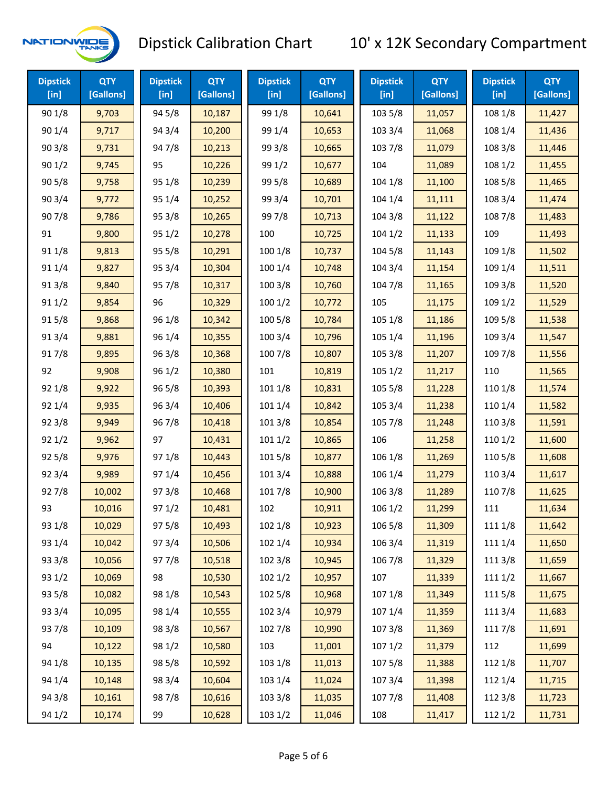

| <b>Dipstick</b><br>$[$ in] | <b>QTY</b><br>[Gallons] | <b>Dipstick</b><br>$[$ in] | <b>QTY</b><br>[Gallons] | <b>Dipstick</b><br>$[$ in] | <b>QTY</b><br>[Gallons] | <b>Dipstick</b><br>$[$ in] | <b>QTY</b><br>[Gallons] | <b>Dipstick</b><br>$[$ in] | <b>QTY</b><br>[Gallons] |
|----------------------------|-------------------------|----------------------------|-------------------------|----------------------------|-------------------------|----------------------------|-------------------------|----------------------------|-------------------------|
| 901/8                      | 9,703                   | 94 5/8                     | 10,187                  | 99 1/8                     | 10,641                  | 103 5/8                    | 11,057                  | 108 1/8                    | 11,427                  |
| 90 1/4                     | 9,717                   | 94 3/4                     | 10,200                  | 99 1/4                     | 10,653                  | 103 3/4                    | 11,068                  | 108 1/4                    | 11,436                  |
| 903/8                      | 9,731                   | 947/8                      | 10,213                  | 99 3/8                     | 10,665                  | 1037/8                     | 11,079                  | 108 3/8                    | 11,446                  |
| 901/2                      | 9,745                   | 95                         | 10,226                  | 99 1/2                     | 10,677                  | 104                        | 11,089                  | 108 1/2                    | 11,455                  |
| 905/8                      | 9,758                   | 95 1/8                     | 10,239                  | 99 5/8                     | 10,689                  | 104 1/8                    | 11,100                  | 108 5/8                    | 11,465                  |
| 903/4                      | 9,772                   | 95 1/4                     | 10,252                  | 99 3/4                     | 10,701                  | 104 1/4                    | 11,111                  | 108 3/4                    | 11,474                  |
| 907/8                      | 9,786                   | 95 3/8                     | 10,265                  | 997/8                      | 10,713                  | 104 3/8                    | 11,122                  | 108 7/8                    | 11,483                  |
| 91                         | 9,800                   | 951/2                      | 10,278                  | 100                        | 10,725                  | 1041/2                     | 11,133                  | 109                        | 11,493                  |
| 91 1/8                     | 9,813                   | 95 5/8                     | 10,291                  | 100 1/8                    | 10,737                  | 104 5/8                    | 11,143                  | 109 1/8                    | 11,502                  |
| 91 1/4                     | 9,827                   | 95 3/4                     | 10,304                  | 100 1/4                    | 10,748                  | 104 3/4                    | 11,154                  | 109 1/4                    | 11,511                  |
| 913/8                      | 9,840                   | 95 7/8                     | 10,317                  | 100 3/8                    | 10,760                  | 104 7/8                    | 11,165                  | 109 3/8                    | 11,520                  |
| 91 1/2                     | 9,854                   | 96                         | 10,329                  | 1001/2                     | 10,772                  | 105                        | 11,175                  | 109 1/2                    | 11,529                  |
| 915/8                      | 9,868                   | 96 1/8                     | 10,342                  | 100 5/8                    | 10,784                  | 105 1/8                    | 11,186                  | 109 5/8                    | 11,538                  |
| 913/4                      | 9,881                   | 96 1/4                     | 10,355                  | 100 3/4                    | 10,796                  | 105 1/4                    | 11,196                  | 109 3/4                    | 11,547                  |
| 917/8                      | 9,895                   | 963/8                      | 10,368                  | 100 7/8                    | 10,807                  | 105 3/8                    | 11,207                  | 109 7/8                    | 11,556                  |
| 92                         | 9,908                   | 96 1/2                     | 10,380                  | 101                        | 10,819                  | 1051/2                     | 11,217                  | 110                        | 11,565                  |
| 92 1/8                     | 9,922                   | 96 5/8                     | 10,393                  | 101 1/8                    | 10,831                  | 105 5/8                    | 11,228                  | 110 1/8                    | 11,574                  |
| 92 1/4                     | 9,935                   | 96 3/4                     | 10,406                  | 101 1/4                    | 10,842                  | 105 3/4                    | 11,238                  | 110 1/4                    | 11,582                  |
| 92 3/8                     | 9,949                   | 967/8                      | 10,418                  | 1013/8                     | 10,854                  | 105 7/8                    | 11,248                  | 110 3/8                    | 11,591                  |
| 921/2                      | 9,962                   | 97                         | 10,431                  | 1011/2                     | 10,865                  | 106                        | 11,258                  | 110 1/2                    | 11,600                  |
| 925/8                      | 9,976                   | 97 1/8                     | 10,443                  | 101 5/8                    | 10,877                  | 106 1/8                    | 11,269                  | 110 5/8                    | 11,608                  |
| 92 3/4                     | 9,989                   | 97 1/4                     | 10,456                  | 101 3/4                    | 10,888                  | 106 1/4                    | 11,279                  | 110 3/4                    | 11,617                  |
| 927/8                      | 10,002                  | 973/8                      | 10,468                  | 101 7/8                    | 10,900                  | 106 3/8                    | 11,289                  | 110 7/8                    | 11,625                  |
| 93                         | 10,016                  | 971/2                      | 10,481                  | 102                        | 10,911                  | 106 1/2                    | 11,299                  | 111                        | 11,634                  |
| 93 1/8                     | 10,029                  | 97 5/8                     | 10,493                  | 102 1/8                    | 10,923                  | 106 5/8                    | 11,309                  | 111 1/8                    | 11,642                  |
| 93 1/4                     | 10,042                  | 973/4                      | 10,506                  | 102 1/4                    | 10,934                  | 106 3/4                    | 11,319                  | 111 1/4                    | 11,650                  |
| 93 3/8                     | 10,056                  | 977/8                      | 10,518                  | 102 3/8                    | 10,945                  | 106 7/8                    | 11,329                  | 111 3/8                    | 11,659                  |
| 93 1/2                     | 10,069                  | 98                         | 10,530                  | 1021/2                     | 10,957                  | 107                        | 11,339                  | 111 1/2                    | 11,667                  |
| 93 5/8                     | 10,082                  | 98 1/8                     | 10,543                  | 102 5/8                    | 10,968                  | 107 1/8                    | 11,349                  | 1115/8                     | 11,675                  |
| 93 3/4                     | 10,095                  | 98 1/4                     | 10,555                  | 102 3/4                    | 10,979                  | 107 1/4                    | 11,359                  | 111 3/4                    | 11,683                  |
| 937/8                      | 10,109                  | 98 3/8                     | 10,567                  | 102 7/8                    | 10,990                  | 107 3/8                    | 11,369                  | 111 7/8                    | 11,691                  |
| 94                         | 10,122                  | 98 1/2                     | 10,580                  | 103                        | 11,001                  | 1071/2                     | 11,379                  | 112                        | 11,699                  |
| 94 1/8                     | 10,135                  | 98 5/8                     | 10,592                  | 103 1/8                    | 11,013                  | 1075/8                     | 11,388                  | 112 1/8                    | 11,707                  |
| 94 1/4                     | 10,148                  | 98 3/4                     | 10,604                  | 103 1/4                    | 11,024                  | 1073/4                     | 11,398                  | 112 1/4                    | 11,715                  |
| 94 3/8                     | 10,161                  | 987/8                      | 10,616                  | 103 3/8                    | 11,035                  | 1077/8                     | 11,408                  | 112 3/8                    | 11,723                  |
| 94 1/2                     | 10,174                  | 99                         | 10,628                  | 103 1/2                    | 11,046                  | 108                        | 11,417                  | 112 1/2                    | 11,731                  |